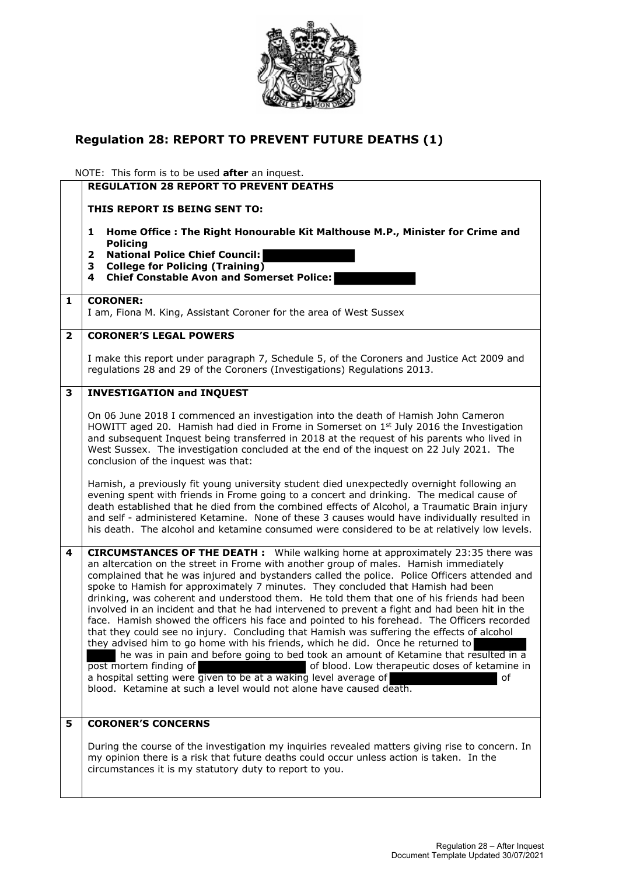

## **Regulation 28: REPORT TO PREVENT FUTURE DEATHS (1)**

NOTE: This form is to be used **after** an inquest.

|                | היטוב. ווווא וטוווווא נט טכ מאכט <b>מונכו</b> מוו ווועמכאנ <b>.</b>                                                                                                                                                                                                                                                                                                                                                                                                                                                                                                                                                                                                                                                                                                                                                                                                                                                                                                                                                                                                                                                                                                     |
|----------------|-------------------------------------------------------------------------------------------------------------------------------------------------------------------------------------------------------------------------------------------------------------------------------------------------------------------------------------------------------------------------------------------------------------------------------------------------------------------------------------------------------------------------------------------------------------------------------------------------------------------------------------------------------------------------------------------------------------------------------------------------------------------------------------------------------------------------------------------------------------------------------------------------------------------------------------------------------------------------------------------------------------------------------------------------------------------------------------------------------------------------------------------------------------------------|
|                | <b>REGULATION 28 REPORT TO PREVENT DEATHS</b>                                                                                                                                                                                                                                                                                                                                                                                                                                                                                                                                                                                                                                                                                                                                                                                                                                                                                                                                                                                                                                                                                                                           |
|                | THIS REPORT IS BEING SENT TO:                                                                                                                                                                                                                                                                                                                                                                                                                                                                                                                                                                                                                                                                                                                                                                                                                                                                                                                                                                                                                                                                                                                                           |
|                | Home Office: The Right Honourable Kit Malthouse M.P., Minister for Crime and<br>1<br><b>Policing</b><br><b>National Police Chief Council:</b><br>2<br>3<br><b>College for Policing (Training)</b><br><b>Chief Constable Avon and Somerset Police:</b><br>4                                                                                                                                                                                                                                                                                                                                                                                                                                                                                                                                                                                                                                                                                                                                                                                                                                                                                                              |
| 1              | <b>CORONER:</b><br>I am, Fiona M. King, Assistant Coroner for the area of West Sussex                                                                                                                                                                                                                                                                                                                                                                                                                                                                                                                                                                                                                                                                                                                                                                                                                                                                                                                                                                                                                                                                                   |
| $\overline{2}$ | <b>CORONER'S LEGAL POWERS</b>                                                                                                                                                                                                                                                                                                                                                                                                                                                                                                                                                                                                                                                                                                                                                                                                                                                                                                                                                                                                                                                                                                                                           |
|                | I make this report under paragraph 7, Schedule 5, of the Coroners and Justice Act 2009 and<br>regulations 28 and 29 of the Coroners (Investigations) Regulations 2013.                                                                                                                                                                                                                                                                                                                                                                                                                                                                                                                                                                                                                                                                                                                                                                                                                                                                                                                                                                                                  |
| 3              | <b>INVESTIGATION and INQUEST</b>                                                                                                                                                                                                                                                                                                                                                                                                                                                                                                                                                                                                                                                                                                                                                                                                                                                                                                                                                                                                                                                                                                                                        |
|                | On 06 June 2018 I commenced an investigation into the death of Hamish John Cameron<br>HOWITT aged 20. Hamish had died in Frome in Somerset on 1 <sup>st</sup> July 2016 the Investigation<br>and subsequent Inquest being transferred in 2018 at the request of his parents who lived in<br>West Sussex. The investigation concluded at the end of the inquest on 22 July 2021. The<br>conclusion of the inquest was that:                                                                                                                                                                                                                                                                                                                                                                                                                                                                                                                                                                                                                                                                                                                                              |
|                | Hamish, a previously fit young university student died unexpectedly overnight following an<br>evening spent with friends in Frome going to a concert and drinking. The medical cause of<br>death established that he died from the combined effects of Alcohol, a Traumatic Brain injury<br>and self - administered Ketamine. None of these 3 causes would have individually resulted in<br>his death. The alcohol and ketamine consumed were considered to be at relatively low levels.                                                                                                                                                                                                                                                                                                                                                                                                                                                                                                                                                                                                                                                                                |
| 4              | <b>CIRCUMSTANCES OF THE DEATH:</b> While walking home at approximately 23:35 there was<br>an altercation on the street in Frome with another group of males. Hamish immediately<br>complained that he was injured and bystanders called the police. Police Officers attended and<br>spoke to Hamish for approximately 7 minutes. They concluded that Hamish had been<br>drinking, was coherent and understood them. He told them that one of his friends had been<br>involved in an incident and that he had intervened to prevent a fight and had been hit in the<br>face. Hamish showed the officers his face and pointed to his forehead. The Officers recorded<br>that they could see no injury. Concluding that Hamish was suffering the effects of alcohol<br>they advised him to go home with his friends, which he did. Once he returned to<br>he was in pain and before going to bed took an amount of Ketamine that resulted in a<br>post mortem finding of<br>of blood. Low therapeutic doses of ketamine in<br>a hospital setting were given to be at a waking level average of<br>of<br>blood. Ketamine at such a level would not alone have caused death. |
| 5              | <b>CORONER'S CONCERNS</b>                                                                                                                                                                                                                                                                                                                                                                                                                                                                                                                                                                                                                                                                                                                                                                                                                                                                                                                                                                                                                                                                                                                                               |
|                | During the course of the investigation my inquiries revealed matters giving rise to concern. In<br>my opinion there is a risk that future deaths could occur unless action is taken. In the<br>circumstances it is my statutory duty to report to you.                                                                                                                                                                                                                                                                                                                                                                                                                                                                                                                                                                                                                                                                                                                                                                                                                                                                                                                  |